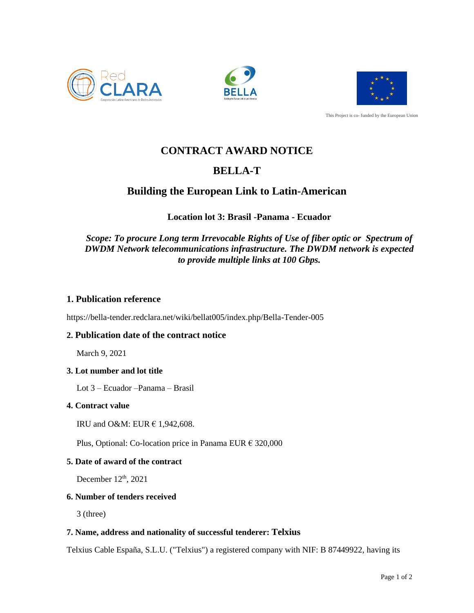





This Project is co- funded by the European Union

# **CONTRACT AWARD NOTICE**

## **BELLA-T**

## **Building the European Link to Latin-American**

## **Location lot 3: Brasil -Panama - Ecuador**

### *Scope: To procure Long term Irrevocable Rights of Use of fiber optic or Spectrum of DWDM Network telecommunications infrastructure. The DWDM network is expected to provide multiple links at 100 Gbps.*

### **1. Publication reference**

https://bella-tender.redclara.net/wiki/bellat005/index.php/Bella-Tender-005

### **2. Publication date of the contract notice**

March 9, 2021

#### **3. Lot number and lot title**

Lot 3 – Ecuador –Panama – Brasil

#### **4. Contract value**

IRU and O&M: EUR € 1,942,608.

Plus, Optional: Co-location price in Panama EUR € 320,000

#### **5. Date of award of the contract**

December 12<sup>th</sup>, 2021

#### **6. Number of tenders received**

3 (three)

#### **7. Name, address and nationality of successful tenderer: Telxius**

Telxius Cable España, S.L.U. ("Telxius") a registered company with NIF: B 87449922, having its